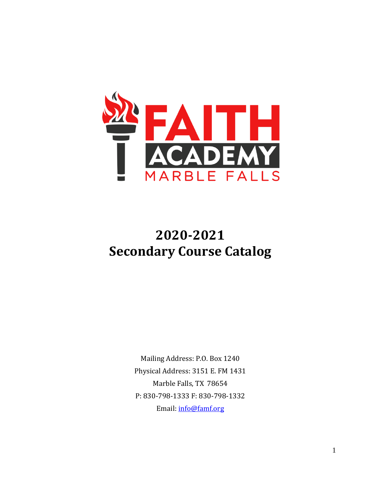

# **2020-2021 Secondary Course Catalog**

Mailing Address: P.O. Box 1240 Physical Address: 3151 E. FM 1431 Marble Falls, TX 78654 P: 830-798-1333 F: 830-798-1332 Email: [info@famf.org](mailto:info@famf.org)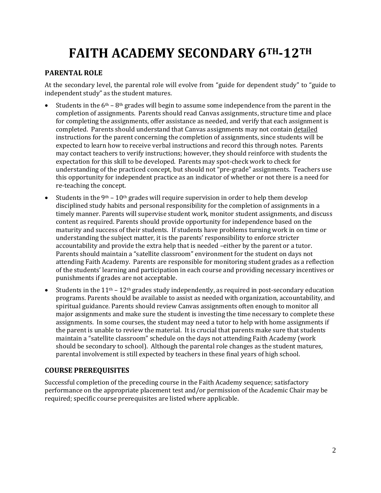# **FAITH ACADEMY SECONDARY 6TH-12TH**

#### **PARENTAL ROLE**

At the secondary level, the parental role will evolve from "guide for dependent study" to "guide to independent study" as the student matures.

- Students in the  $6<sup>th</sup> 8<sup>th</sup>$  grades will begin to assume some independence from the parent in the completion of assignments. Parents should read Canvas assignments, structure time and place for completing the assignments, offer assistance as needed, and verify that each assignment is completed. Parents should understand that Canvas assignments may not contain detailed instructions for the parent concerning the completion of assignments, since students will be expected to learn how to receive verbal instructions and record this through notes. Parents may contact teachers to verify instructions; however, they should reinforce with students the expectation for this skill to be developed. Parents may spot-check work to check for understanding of the practiced concept, but should not "pre-grade" assignments. Teachers use this opportunity for independent practice as an indicator of whether or not there is a need for re-teaching the concept.
- Students in the 9<sup>th</sup> 10<sup>th</sup> grades will require supervision in order to help them develop disciplined study habits and personal responsibility for the completion of assignments in a timely manner. Parents will supervise student work, monitor student assignments, and discuss content as required. Parents should provide opportunity for independence based on the maturity and success of their students. If students have problems turning work in on time or understanding the subject matter, it is the parents' responsibility to enforce stricter accountability and provide the extra help that is needed –either by the parent or a tutor. Parents should maintain a "satellite classroom" environment for the student on days not attending Faith Academy. Parents are responsible for monitoring student grades as a reflection of the students' learning and participation in each course and providing necessary incentives or punishments if grades are not acceptable.
- Students in the  $11<sup>th</sup> 12<sup>th</sup>$  grades study independently, as required in post-secondary education programs. Parents should be available to assist as needed with organization, accountability, and spiritual guidance. Parents should review Canvas assignments often enough to monitor all major assignments and make sure the student is investing the time necessary to complete these assignments. In some courses, the student may need a tutor to help with home assignments if the parent is unable to review the material. It is crucial that parents make sure that students maintain a "satellite classroom" schedule on the days not attending Faith Academy (work should be secondary to school). Although the parental role changes as the student matures, parental involvement is still expected by teachers in these final years of high school.

## **COURSE PREREQUISITES**

Successful completion of the preceding course in the Faith Academy sequence; satisfactory performance on the appropriate placement test and/or permission of the Academic Chair may be required; specific course prerequisites are listed where applicable.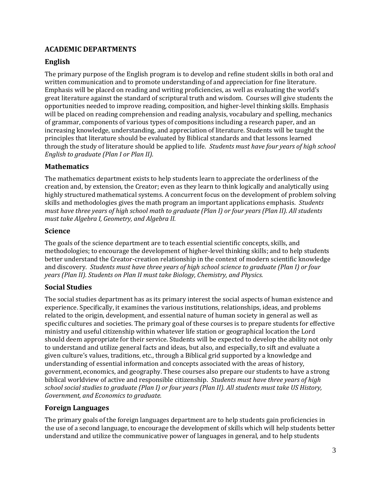## **ACADEMIC DEPARTMENTS**

## **English**

The primary purpose of the English program is to develop and refine student skills in both oral and written communication and to promote understanding of and appreciation for fine literature. Emphasis will be placed on reading and writing proficiencies, as well as evaluating the world's great literature against the standard of scriptural truth and wisdom. Courses will give students the opportunities needed to improve reading, composition, and higher-level thinking skills. Emphasis will be placed on reading comprehension and reading analysis, vocabulary and spelling, mechanics of grammar, components of various types of compositions including a research paper, and an increasing knowledge, understanding, and appreciation of literature. Students will be taught the principles that literature should be evaluated by Biblical standards and that lessons learned through the study of literature should be applied to life. *Students must have four years of high school English to graduate (Plan I or Plan II).*

#### **Mathematics**

The mathematics department exists to help students learn to appreciate the orderliness of the creation and, by extension, the Creator; even as they learn to think logically and analytically using highly structured mathematical systems. A concurrent focus on the development of problem solving skills and methodologies gives the math program an important applications emphasis. *Students must have three years of high school math to graduate (Plan I) or four years (Plan II). All students must take Algebra I, Geometry, and Algebra II.* 

#### **Science**

The goals of the science department are to teach essential scientific concepts, skills, and methodologies; to encourage the development of higher-level thinking skills; and to help students better understand the Creator-creation relationship in the context of modern scientific knowledge and discovery. *Students must have three years of high school science to graduate (Plan I) or four years (Plan II). Students on Plan II must take Biology, Chemistry, and Physics.*

#### **Social Studies**

The social studies department has as its primary interest the social aspects of human existence and experience. Specifically, it examines the various institutions, relationships, ideas, and problems related to the origin, development, and essential nature of human society in general as well as specific cultures and societies. The primary goal of these courses is to prepare students for effective ministry and useful citizenship within whatever life station or geographical location the Lord should deem appropriate for their service. Students will be expected to develop the ability not only to understand and utilize general facts and ideas, but also, and especially, to sift and evaluate a given culture's values, traditions, etc., through a Biblical grid supported by a knowledge and understanding of essential information and concepts associated with the areas of history, government, economics, and geography. These courses also prepare our students to have a strong biblical worldview of active and responsible citizenship. *Students must have three years of high school social studies to graduate (Plan I) or four years (Plan II). All students must take US History, Government, and Economics to graduate.* 

#### **Foreign Languages**

The primary goals of the foreign languages department are to help students gain proficiencies in the use of a second language, to encourage the development of skills which will help students better understand and utilize the communicative power of languages in general, and to help students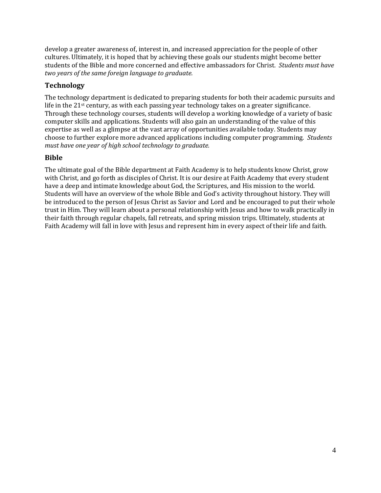develop a greater awareness of, interest in, and increased appreciation for the people of other cultures. Ultimately, it is hoped that by achieving these goals our students might become better students of the Bible and more concerned and effective ambassadors for Christ. *Students must have two years of the same foreign language to graduate.*

## **Technology**

The technology department is dedicated to preparing students for both their academic pursuits and life in the 21<sup>st</sup> century, as with each passing year technology takes on a greater significance. Through these technology courses, students will develop a working knowledge of a variety of basic computer skills and applications. Students will also gain an understanding of the value of this expertise as well as a glimpse at the vast array of opportunities available today. Students may choose to further explore more advanced applications including computer programming. *Students must have one year of high school technology to graduate.*

## **Bible**

The ultimate goal of the Bible department at Faith Academy is to help students know Christ, grow with Christ, and go forth as disciples of Christ. It is our desire at Faith Academy that every student have a deep and intimate knowledge about God, the Scriptures, and His mission to the world. Students will have an overview of the whole Bible and God's activity throughout history. They will be introduced to the person of Jesus Christ as Savior and Lord and be encouraged to put their whole trust in Him. They will learn about a personal relationship with Jesus and how to walk practically in their faith through regular chapels, fall retreats, and spring mission trips. Ultimately, students at Faith Academy will fall in love with Jesus and represent him in every aspect of their life and faith.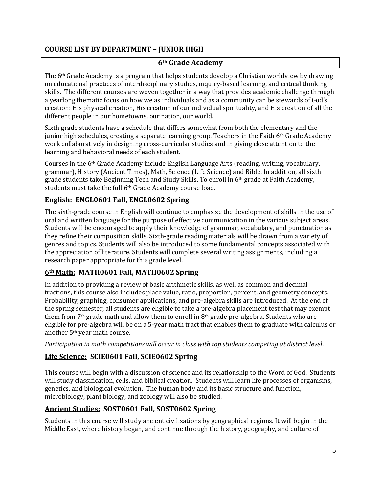#### **COURSE LIST BY DEPARTMENT – JUNIOR HIGH**

#### **6th Grade Academy**

The  $6<sup>th</sup>$  Grade Academy is a program that helps students develop a Christian worldview by drawing on educational practices of interdisciplinary studies, inquiry-based learning, and critical thinking skills. The different courses are woven together in a way that provides academic challenge through a yearlong thematic focus on how we as individuals and as a community can be stewards of God's creation: His physical creation, His creation of our individual spirituality, and His creation of all the different people in our hometowns, our nation, our world.

Sixth grade students have a schedule that differs somewhat from both the elementary and the junior high schedules, creating a separate learning group. Teachers in the Faith  $6<sup>th</sup>$  Grade Academy work collaboratively in designing cross-curricular studies and in giving close attention to the learning and behavioral needs of each student.

Courses in the 6th Grade Academy include English Language Arts (reading, writing, vocabulary, grammar), History (Ancient Times), Math, Science (Life Science) and Bible. In addition, all sixth grade students take Beginning Tech and Study Skills. To enroll in 6th grade at Faith Academy, students must take the full 6<sup>th</sup> Grade Academy course load.

## **English: ENGL0601 Fall, ENGL0602 Spring**

The sixth-grade course in English will continue to emphasize the development of skills in the use of oral and written language for the purpose of effective communication in the various subject areas. Students will be encouraged to apply their knowledge of grammar, vocabulary, and punctuation as they refine their composition skills. Sixth-grade reading materials will be drawn from a variety of genres and topics. Students will also be introduced to some fundamental concepts associated with the appreciation of literature. Students will complete several writing assignments, including a research paper appropriate for this grade level.

#### **6th Math: MATH0601 Fall, MATH0602 Spring**

In addition to providing a review of basic arithmetic skills, as well as common and decimal fractions, this course also includes place value, ratio, proportion, percent, and geometry concepts. Probability, graphing, consumer applications, and pre-algebra skills are introduced. At the end of the spring semester, all students are eligible to take a pre-algebra placement test that may exempt them from 7<sup>th</sup> grade math and allow them to enroll in 8<sup>th</sup> grade pre-algebra. Students who are eligible for pre-algebra will be on a 5-year math tract that enables them to graduate with calculus or another 5th year math course.

*Participation in math competitions will occur in class with top students competing at district level*.

## **Life Science: SCIE0601 Fall, SCIE0602 Spring**

This course will begin with a discussion of science and its relationship to the Word of God. Students will study classification, cells, and biblical creation. Students will learn life processes of organisms, genetics, and biological evolution. The human body and its basic structure and function, microbiology, plant biology, and zoology will also be studied.

#### **Ancient Studies: SOST0601 Fall, SOST0602 Spring**

Students in this course will study ancient civilizations by geographical regions. It will begin in the Middle East, where history began, and continue through the history, geography, and culture of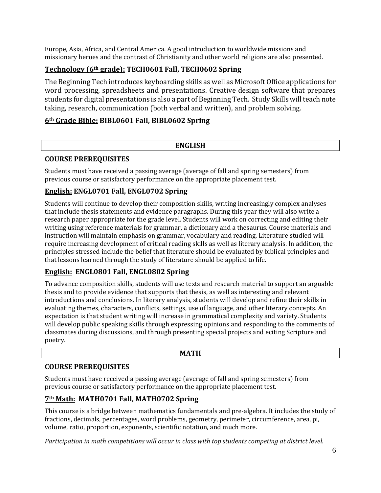Europe, Asia, Africa, and Central America. A good introduction to worldwide missions and missionary heroes and the contrast of Christianity and other world religions are also presented.

## **Technology (6th grade): TECH0601 Fall, TECH0602 Spring**

The Beginning Tech introduces keyboarding skills as well as Microsoft Office applications for word processing, spreadsheets and presentations. Creative design software that prepares students for digital presentations is also a part of Beginning Tech. Study Skills will teach note taking, research, communication (both verbal and written), and problem solving.

## **6th Grade Bible: BIBL0601 Fall, BIBL0602 Spring**

#### **ENGLISH**

#### **COURSE PREREQUISITES**

Students must have received a passing average (average of fall and spring semesters) from previous course or satisfactory performance on the appropriate placement test.

## **English: ENGL0701 Fall, ENGL0702 Spring**

Students will continue to develop their composition skills, writing increasingly complex analyses that include thesis statements and evidence paragraphs. During this year they will also write a research paper appropriate for the grade level. Students will work on correcting and editing their writing using reference materials for grammar, a dictionary and a thesaurus. Course materials and instruction will maintain emphasis on grammar, vocabulary and reading. Literature studied will require increasing development of critical reading skills as well as literary analysis. In addition, the principles stressed include the belief that literature should be evaluated by biblical principles and that lessons learned through the study of literature should be applied to life.

#### **English: ENGL0801 Fall, ENGL0802 Spring**

To advance composition skills, students will use texts and research material to support an arguable thesis and to provide evidence that supports that thesis, as well as interesting and relevant introductions and conclusions. In literary analysis, students will develop and refine their skills in evaluating themes, characters, conflicts, settings, use of language, and other literary concepts. An expectation is that student writing will increase in grammatical complexity and variety. Students will develop public speaking skills through expressing opinions and responding to the comments of classmates during discussions, and through presenting special projects and eciting Scripture and poetry.

#### **MATH**

#### **COURSE PREREQUISITES**

Students must have received a passing average (average of fall and spring semesters) from previous course or satisfactory performance on the appropriate placement test.

#### **7th Math: MATH0701 Fall, MATH0702 Spring**

This course is a bridge between mathematics fundamentals and pre-algebra. It includes the study of fractions, decimals, percentages, word problems, geometry, perimeter, circumference, area, pi, volume, ratio, proportion, exponents, scientific notation, and much more.

*Participation in math competitions will occur in class with top students competing at district level.*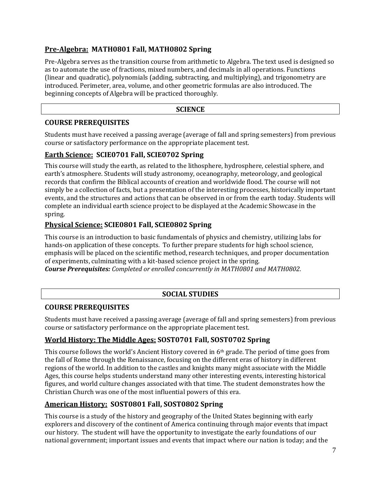## **Pre-Algebra: MATH0801 Fall, MATH0802 Spring**

Pre-Algebra serves as the transition course from arithmetic to Algebra. The text used is designed so as to automate the use of fractions, mixed numbers, and decimals in all operations. Functions (linear and quadratic), polynomials (adding, subtracting, and multiplying), and trigonometry are introduced. Perimeter, area, volume, and other geometric formulas are also introduced. The beginning concepts of Algebra will be practiced thoroughly.

#### **SCIENCE**

#### **COURSE PREREQUISITES**

Students must have received a passing average (average of fall and spring semesters) from previous course or satisfactory performance on the appropriate placement test.

#### **Earth Science: SCIE0701 Fall, SCIE0702 Spring**

This course will study the earth, as related to the lithosphere, hydrosphere, celestial sphere, and earth's atmosphere. Students will study astronomy, oceanography, meteorology, and geological records that confirm the Biblical accounts of creation and worldwide flood. The course will not simply be a collection of facts, but a presentation of the interesting processes, historically important events, and the structures and actions that can be observed in or from the earth today. Students will complete an individual earth science project to be displayed at the Academic Showcase in the spring.

## **Physical Science: SCIE0801 Fall, SCIE0802 Spring**

This course is an introduction to basic fundamentals of physics and chemistry, utilizing labs for hands-on application of these concepts. To further prepare students for high school science, emphasis will be placed on the scientific method, research techniques, and proper documentation of experiments, culminating with a kit-based science project in the spring.

*Course Prerequisites: Completed or enrolled concurrently in MATH0801 and MATH0802.*

#### **SOCIAL STUDIES**

#### **COURSE PREREQUISITES**

Students must have received a passing average (average of fall and spring semesters) from previous course or satisfactory performance on the appropriate placement test.

#### **World History: The Middle Ages: SOST0701 Fall, SOST0702 Spring**

This course follows the world's Ancient History covered in 6th grade. The period of time goes from the fall of Rome through the Renaissance, focusing on the different eras of history in different regions of the world. In addition to the castles and knights many might associate with the Middle Ages, this course helps students understand many other interesting events, interesting historical figures, and world culture changes associated with that time. The student demonstrates how the Christian Church was one of the most influential powers of this era.

## **American History: SOST0801 Fall, SOST0802 Spring**

This course is a study of the history and geography of the United States beginning with early explorers and discovery of the continent of America continuing through major events that impact our history. The student will have the opportunity to investigate the early foundations of our national government; important issues and events that impact where our nation is today; and the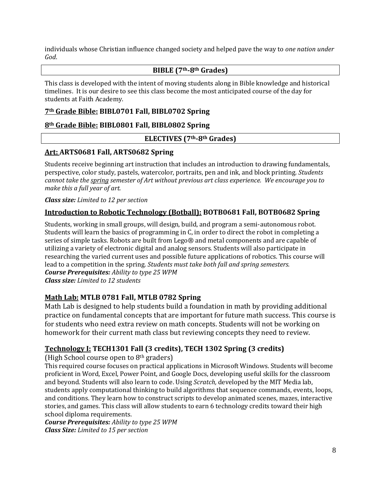individuals whose Christian influence changed society and helped pave the way to *one nation under God*.

#### **BIBLE (7th-8th Grades)**

This class is developed with the intent of moving students along in Bible knowledge and historical timelines. It is our desire to see this class become the most anticipated course of the day for students at Faith Academy.

#### **7th Grade Bible: BIBL0701 Fall, BIBL0702 Spring**

## **8th Grade Bible: BIBL0801 Fall, BIBL0802 Spring**

#### **ELECTIVES (7th-8th Grades)**

## **Art: ARTS0681 Fall, ARTS0682 Spring**

Students receive beginning art instruction that includes an introduction to drawing fundamentals, perspective, color study, pastels, watercolor, portraits, pen and ink, and block printing. *Students cannot take the spring semester of Art without previous art class experience. We encourage you to make this a full year of art.*

#### *Class size: Limited to 12 per section*

## **Introduction to Robotic Technology (Botball): BOTB0681 Fall, BOTB0682 Spring**

Students, working in small groups, will design, build, and program a semi-autonomous robot. Students will learn the basics of programming in C, in order to direct the robot in completing a series of simple tasks. Robots are built from Lego® and metal components and are capable of utilizing a variety of electronic digital and analog sensors. Students will also participate in researching the varied current uses and possible future applications of robotics. This course will lead to a competition in the spring. *Students must take both fall and spring semesters. Course Prerequisites: Ability to type 25 WPM Class size: Limited to 12 students*

#### **Math Lab: MTLB 0781 Fall, MTLB 0782 Spring**

Math Lab is designed to help students build a foundation in math by providing additional practice on fundamental concepts that are important for future math success. This course is for students who need extra review on math concepts. Students will not be working on homework for their current math class but reviewing concepts they need to review.

## **Technology I: TECH1301 Fall (3 credits), TECH 1302 Spring (3 credits)**

(High School course open to 8th graders)

This required course focuses on practical applications in Microsoft Windows. Students will become proficient in Word, Excel, Power Point, and Google Docs, developing useful skills for the classroom and beyond. Students will also learn to code. Using *Scratch,* developed by the MIT Media lab, students apply computational thinking to build algorithms that sequence commands, events, loops, and conditions. They learn how to construct scripts to develop animated scenes, mazes, interactive stories, and games. This class will allow students to earn 6 technology credits toward their high school diploma requirements.

*Course Prerequisites: Ability to type 25 WPM Class Size: Limited to 15 per section*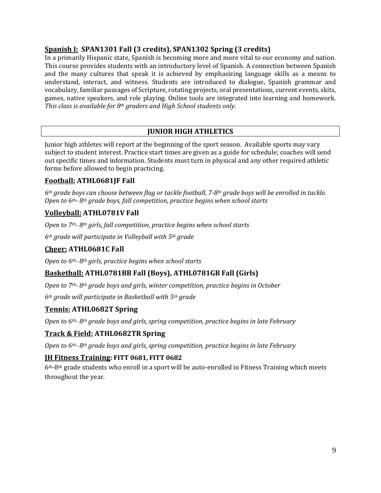#### **Spanish I: SPAN1301 Fall (3 credits), SPAN1302 Spring (3 credits)**

In a primarily Hispanic state, Spanish is becoming more and more vital to our economy and nation. This course provides students with an introductory level of Spanish. A connection between Spanish and the many cultures that speak it is achieved by emphasizing language skills as a means to understand, interact, and witness. Students are introduced to dialogue, Spanish grammar and vocabulary, familiar passages of Scripture, rotating projects, oral presentations, current events, skits, games, native speakers, and role playing. Online tools are integrated into learning and homework. *This class is available for 8th graders and High School students only.*

## **JUNIOR HIGH ATHLETICS**

Junior high athletes will report at the beginning of the sport season. Available sports may vary subject to student interest. Practice start times are given as a guide for schedule; coaches will send out specific times and information. Students must turn in physical and any other required athletic forms before allowed to begin practicing.

## **Football: ATHL0681JF Fall**

*6th grade boys can choose between flag or tackle football, 7-8th grade boys will be enrolled in tackle. Open to 6th- 8th grade boys, fall competition, practice begins when school starts*

## **Volleyball: ATHL0781V Fall**

*Open to 7th- 8th girls, fall competition, practice begins when school starts*

*6th grade will participate in Volleyball with 5th grade*

## **Cheer: ATHL0681C Fall**

*Open to 6th- 8th girls, practice begins when school starts*

## **Basketball: ATHL0781BB Fall (Boys), ATHL0781GB Fall (Girls)**

*Open to 7th- 8th grade boys and girls, winter competition, practice begins in October*

*6th grade will participate in Basketball with 5th grade*

#### **Tennis: ATHL0682T Spring**

*Open to 6th- 8th grade boys and girls, spring competition, practice begins in late February*

#### **Track & Field: ATHL0682TR Spring**

*Open to 6th- 8th grade boys and girls, spring competition, practice begins in late February*

#### **JH Fitness Training: FITT 0681, FITT 0682**

6th-8th grade students who enroll in a sport will be auto-enrolled in Fitness Training which meets throughout the year.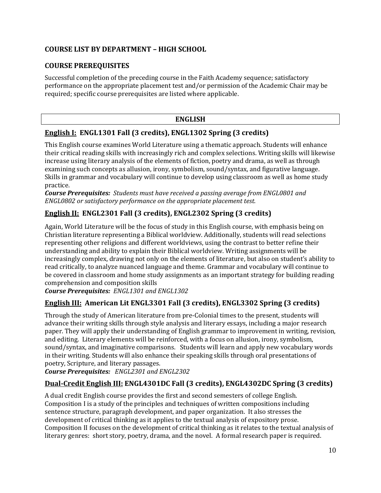## **COURSE LIST BY DEPARTMENT – HIGH SCHOOL**

## **COURSE PREREQUISITES**

Successful completion of the preceding course in the Faith Academy sequence; satisfactory performance on the appropriate placement test and/or permission of the Academic Chair may be required; specific course prerequisites are listed where applicable.

#### **ENGLISH**

## **English I: ENGL1301 Fall (3 credits), ENGL1302 Spring (3 credits)**

This English course examines World Literature using a thematic approach. Students will enhance their critical reading skills with increasingly rich and complex selections. Writing skills will likewise increase using literary analysis of the elements of fiction, poetry and drama, as well as through examining such concepts as allusion, irony, symbolism, sound/syntax, and figurative language. Skills in grammar and vocabulary will continue to develop using classroom as well as home study practice.

*Course Prerequisites: Students must have received a passing average from ENGL0801 and ENGL0802 or satisfactory performance on the appropriate placement test.*

# **English II: ENGL2301 Fall (3 credits), ENGL2302 Spring (3 credits)**

Again, World Literature will be the focus of study in this English course, with emphasis being on Christian literature representing a Biblical worldview. Additionally, students will read selections representing other religions and different worldviews, using the contrast to better refine their understanding and ability to explain their Biblical worldview. Writing assignments will be increasingly complex, drawing not only on the elements of literature, but also on student's ability to read critically, to analyze nuanced language and theme. Grammar and vocabulary will continue to be covered in classroom and home study assignments as an important strategy for building reading comprehension and composition skills

*Course Prerequisites: ENGL1301 and ENGL1302* 

## **English III: American Lit ENGL3301 Fall (3 credits), ENGL3302 Spring (3 credits)**

Through the study of American literature from pre-Colonial times to the present, students will advance their writing skills through style analysis and literary essays, including a major research paper. They will apply their understanding of English grammar to improvement in writing, revision, and editing. Literary elements will be reinforced, with a focus on allusion, irony, symbolism, sound/syntax, and imaginative comparisons. Students will learn and apply new vocabulary words in their writing. Students will also enhance their speaking skills through oral presentations of poetry, Scripture, and literary passages.

*Course Prerequisites: ENGL2301 and ENGL2302*

# **Dual-Credit English III: ENGL4301DC Fall (3 credits), ENGL4302DC Spring (3 credits)**

A dual credit English course provides the first and second semesters of college English. Composition I is a study of the principles and techniques of written compositions including sentence structure, paragraph development, and paper organization. It also stresses the development of critical thinking as it applies to the textual analysis of expository prose. Composition II focuses on the development of critical thinking as it relates to the textual analysis of literary genres: short story, poetry, drama, and the novel. A formal research paper is required.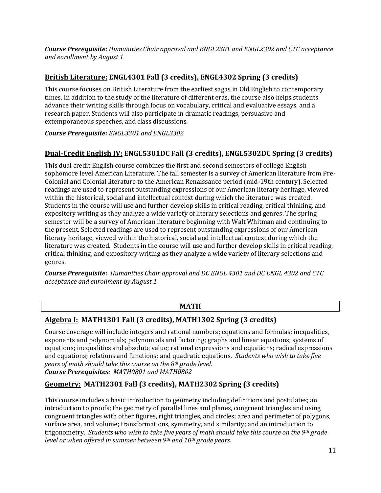*Course Prerequisite: Humanities Chair approval and ENGL2301 and ENGL2302 and CTC acceptance and enrollment by August 1*

## **British Literature: ENGL4301 Fall (3 credits), ENGL4302 Spring (3 credits)**

This course focuses on British Literature from the earliest sagas in Old English to contemporary times. In addition to the study of the literature of different eras, the course also helps students advance their writing skills through focus on vocabulary, critical and evaluative essays, and a research paper. Students will also participate in dramatic readings, persuasive and extemporaneous speeches, and class discussions.

*Course Prerequisite: ENGL3301 and ENGL3302*

## **Dual-Credit English IV: ENGL5301DC Fall (3 credits), ENGL5302DC Spring (3 credits)**

This dual credit English course combines the first and second semesters of college English sophomore level American Literature. The fall semester is a survey of American literature from Pre-Colonial and Colonial literature to the American Renaissance period (mid-19th century). Selected readings are used to represent outstanding expressions of our American literary heritage, viewed within the historical, social and intellectual context during which the literature was created. Students in the course will use and further develop skills in critical reading, critical thinking, and expository writing as they analyze a wide variety of literary selections and genres. The spring semester will be a survey of American literature beginning with Walt Whitman and continuing to the present. Selected readings are used to represent outstanding expressions of our American literary heritage, viewed within the historical, social and intellectual context during which the literature was created. Students in the course will use and further develop skills in critical reading, critical thinking, and expository writing as they analyze a wide variety of literary selections and genres.

*Course Prerequisite: Humanities Chair approval and DC ENGL 4301 and DC ENGL 4302 and CTC acceptance and enrollment by August 1*

#### **MATH**

#### **Algebra I: MATH1301 Fall (3 credits), MATH1302 Spring (3 credits)**

Course coverage will include integers and rational numbers; equations and formulas; inequalities, exponents and polynomials; polynomials and factoring; graphs and linear equations; systems of equations; inequalities and absolute value; rational expressions and equations; radical expressions and equations; relations and functions; and quadratic equations. *Students who wish to take five years of math should take this course on the 8th grade level. Course Prerequisites: MATH0801 and MATH0802*

## **Geometry: MATH2301 Fall (3 credits), MATH2302 Spring (3 credits)**

This course includes a basic introduction to geometry including definitions and postulates; an introduction to proofs; the geometry of parallel lines and planes, congruent triangles and using congruent triangles with other figures, right triangles, and circles; area and perimeter of polygons, surface area, and volume; transformations, symmetry, and similarity; and an introduction to trigonometry. *Students who wish to take five years of math should take this course on the 9th grade level or when offered in summer between 9th and 10th grade years.*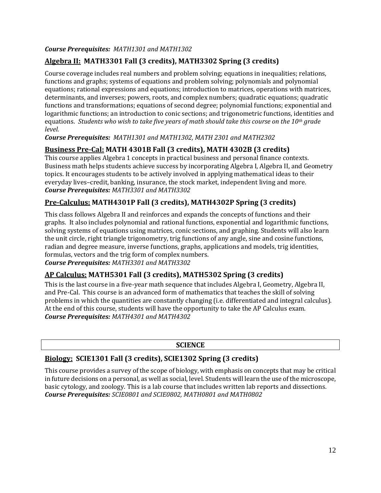#### *Course Prerequisites: MATH1301 and MATH1302*

## **Algebra II: MATH3301 Fall (3 credits), MATH3302 Spring (3 credits)**

Course coverage includes real numbers and problem solving; equations in inequalities; relations, functions and graphs; systems of equations and problem solving; polynomials and polynomial equations; rational expressions and equations; introduction to matrices, operations with matrices, determinants, and inverses; powers, roots, and complex numbers; quadratic equations; quadratic functions and transformations; equations of second degree; polynomial functions; exponential and logarithmic functions; an introduction to conic sections; and trigonometric functions, identities and equations. *Students who wish to take five years of math should take this course on the 10th grade level.*

*Course Prerequisites: MATH1301 and MATH1302, MATH 2301 and MATH2302*

## **Business Pre-Cal: MATH 4301B Fall (3 credits), MATH 4302B (3 credits)**

This course applies Algebra 1 concepts in practical business and personal finance contexts. Business math helps students achieve success by incorporating Algebra I, Algebra II, and Geometry topics. It encourages students to be actively involved in applying mathematical ideas to their everyday lives–credit, banking, insurance, the stock market, independent living and more. *Course Prerequisites: MATH3301 and MATH3302*

## **Pre-Calculus: MATH4301P Fall (3 credits), MATH4302P Spring (3 credits)**

This class follows Algebra II and reinforces and expands the concepts of functions and their graphs. It also includes polynomial and rational functions, exponential and logarithmic functions, solving systems of equations using matrices, conic sections, and graphing. Students will also learn the unit circle, right triangle trigonometry, trig functions of any angle, sine and cosine functions, radian and degree measure, inverse functions, graphs, applications and models, trig identities, formulas, vectors and the trig form of complex numbers.

*Course Prerequisites: MATH3301 and MATH3302*

#### **AP Calculus: MATH5301 Fall (3 credits), MATH5302 Spring (3 credits)**

This is the last course in a five-year math sequence that includes Algebra I, Geometry, Algebra II, and Pre-Cal. This course is an advanced form of mathematics that teaches the skill of solving problems in which the quantities are constantly changing (i.e. differentiated and integral calculus). At the end of this course, students will have the opportunity to take the AP Calculus exam. *Course Prerequisites: MATH4301 and MATH4302*

#### **SCIENCE**

## **Biology: SCIE1301 Fall (3 credits), SCIE1302 Spring (3 credits)**

This course provides a survey of the scope of biology, with emphasis on concepts that may be critical in future decisions on a personal, as well as social, level. Students will learn the use of the microscope, basic cytology, and zoology. This is a lab course that includes written lab reports and dissections. *Course Prerequisites: SCIE0801 and SCIE0802, MATH0801 and MATH0802*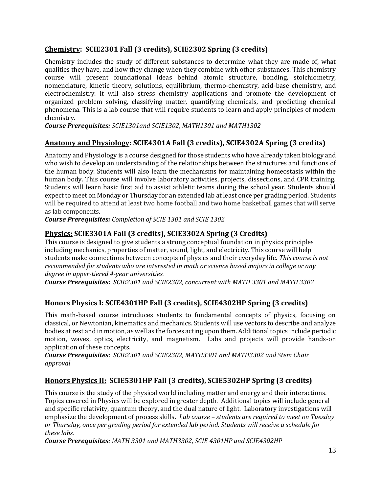## **Chemistry: SCIE2301 Fall (3 credits), SCIE2302 Spring (3 credits)**

Chemistry includes the study of different substances to determine what they are made of, what qualities they have, and how they change when they combine with other substances. This chemistry course will present foundational ideas behind atomic structure, bonding, stoichiometry, nomenclature, kinetic theory, solutions, equilibrium, thermo-chemistry, acid-base chemistry, and electrochemistry. It will also stress chemistry applications and promote the development of organized problem solving, classifying matter, quantifying chemicals, and predicting chemical phenomena. This is a lab course that will require students to learn and apply principles of modern chemistry.

*Course Prerequisites: SCIE1301and SCIE1302, MATH1301 and MATH1302* 

## **Anatomy and Physiology: SCIE4301A Fall (3 credits), SCIE4302A Spring (3 credits)**

Anatomy and Physiology is a course designed for those students who have already taken biology and who wish to develop an understanding of the relationships between the structures and functions of the human body. Students will also learn the mechanisms for maintaining homeostasis within the human body. This course will involve laboratory activities, projects, dissections, and CPR training. Students will learn basic first aid to assist athletic teams during the school year. Students should expect to meet on Monday or Thursday for an extended lab at least once per grading period. Students will be required to attend at least two home football and two home basketball games that will serve as lab components.

*Course Prerequisites: Completion of SCIE 1301 and SCIE 1302*

## **Physics: SCIE3301A Fall (3 credits), SCIE3302A Spring (3 Credits)**

This course is designed to give students a strong conceptual foundation in physics principles including mechanics, properties of matter, sound, light, and electricity. This course will help students make connections between concepts of physics and their everyday life. *This course is not recommended for students who are interested in math or science based majors in college or any degree in upper-tiered 4-year universities.*

*Course Prerequisites: SCIE2301 and SCIE2302, concurrent with MATH 3301 and MATH 3302*

## **Honors Physics I: SCIE4301HP Fall (3 credits), SCIE4302HP Spring (3 credits)**

This math-based course introduces students to fundamental concepts of physics, focusing on classical, or Newtonian, kinematics and mechanics. Students will use vectors to describe and analyze bodies at rest and in motion, as well as the forces acting upon them. Additional topics include periodic motion, waves, optics, electricity, and magnetism. Labs and projects will provide hands-on application of these concepts.

*Course Prerequisites: SCIE2301 and SCIE2302, MATH3301 and MATH3302 and Stem Chair approval*

## **Honors Physics II: SCIE5301HP Fall (3 credits), SCIE5302HP Spring (3 credits)**

This course is the study of the physical world including matter and energy and their interactions. Topics covered in Physics will be explored in greater depth. Additional topics will include general and specific relativity, quantum theory, and the dual nature of light. Laboratory investigations will emphasize the development of process skills. *Lab course – students are required to meet on Tuesday or Thursday, once per grading period for extended lab period. Students will receive a schedule for these labs.*

*Course Prerequisites: MATH 3301 and MATH3302, SCIE 4301HP and SCIE4302HP*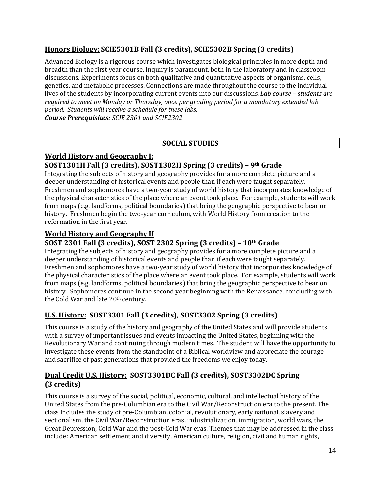## **Honors Biology: SCIE5301B Fall (3 credits), SCIE5302B Spring (3 credits)**

Advanced Biology is a rigorous course which investigates biological principles in more depth and breadth than the first year course. Inquiry is paramount, both in the laboratory and in classroom discussions. Experiments focus on both qualitative and quantitative aspects of organisms, cells, genetics, and metabolic processes. Connections are made throughout the course to the individual lives of the students by incorporating current events into our discussions. *Lab course – students are required to meet on Monday or Thursday, once per grading period for a mandatory extended lab period. Students will receive a schedule for these labs.*

*Course Prerequisites: SCIE 2301 and SCIE2302*

## **SOCIAL STUDIES**

#### **World History and Geography I: SOST1301H Fall (3 credits), SOST1302H Spring (3 credits) – 9th Grade**

Integrating the subjects of history and geography provides for a more complete picture and a deeper understanding of historical events and people than if each were taught separately. Freshmen and sophomores have a two-year study of world history that incorporates knowledge of the physical characteristics of the place where an event took place. For example, students will work from maps (e.g. landforms, political boundaries) that bring the geographic perspective to bear on history. Freshmen begin the two-year curriculum, with World History from creation to the reformation in the first year.

## **World History and Geography II**

## **SOST 2301 Fall (3 credits), SOST 2302 Spring (3 credits) – 10th Grade**

Integrating the subjects of history and geography provides for a more complete picture and a deeper understanding of historical events and people than if each were taught separately. Freshmen and sophomores have a two-year study of world history that incorporates knowledge of the physical characteristics of the place where an event took place. For example, students will work from maps (e.g. landforms, political boundaries) that bring the geographic perspective to bear on history. Sophomores continue in the second year beginning with the Renaissance, concluding with the Cold War and late 20<sup>th</sup> century.

## **U.S. History: SOST3301 Fall (3 credits), SOST3302 Spring (3 credits)**

This course is a study of the history and geography of the United States and will provide students with a survey of important issues and events impacting the United States, beginning with the Revolutionary War and continuing through modern times. The student will have the opportunity to investigate these events from the standpoint of a Biblical worldview and appreciate the courage and sacrifice of past generations that provided the freedoms we enjoy today.

## **Dual Credit U.S. History: SOST3301DC Fall (3 credits), SOST3302DC Spring (3 credits)**

This course is a survey of the social, political, economic, cultural, and intellectual history of the United States from the pre-Columbian era to the Civil War/Reconstruction era to the present. The class includes the study of pre-Columbian, colonial, revolutionary, early national, slavery and sectionalism, the Civil War/Reconstruction eras, industrialization, immigration, world wars, the Great Depression, Cold War and the post-Cold War eras. Themes that may be addressed in the class include: American settlement and diversity, American culture, religion, civil and human rights,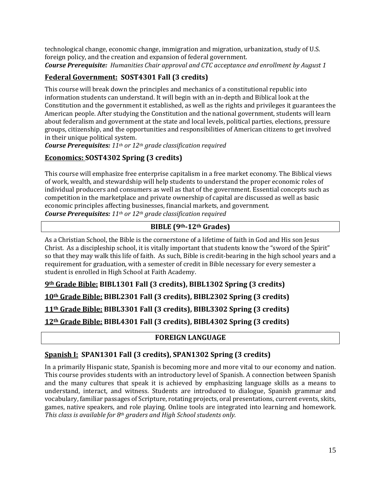technological change, economic change, immigration and migration, urbanization, study of U.S. foreign policy, and the creation and expansion of federal government. *Course Prerequisite: Humanities Chair approval and CTC acceptance and enrollment by August 1*

## **Federal Government: SOST4301 Fall (3 credits)**

This course will break down the principles and mechanics of a constitutional republic into information students can understand. It will begin with an in-depth and Biblical look at the Constitution and the government it established, as well as the rights and privileges it guarantees the American people. After studying the Constitution and the national government, students will learn about federalism and government at the state and local levels, political parties, elections, pressure groups, citizenship, and the opportunities and responsibilities of American citizens to get involved in their unique political system.

*Course Prerequisites: 11th or 12th grade classification required*

## **Economics: SOST4302 Spring (3 credits)**

This course will emphasize free enterprise capitalism in a free market economy. The Biblical views of work, wealth, and stewardship will help students to understand the proper economic roles of individual producers and consumers as well as that of the government. Essential concepts such as competition in the marketplace and private ownership of capital are discussed as well as basic economic principles affecting businesses, financial markets, and government. *Course Prerequisites: 11th or 12th grade classification required*

## **BIBLE (9th-12th Grades)**

As a Christian School, the Bible is the cornerstone of a lifetime of faith in God and His son Jesus Christ. As a discipleship school, it is vitally important that students know the "sword of the Spirit" so that they may walk this life of faith. As such, Bible is credit-bearing in the high school years and a requirement for graduation, with a semester of credit in Bible necessary for every semester a student is enrolled in High School at Faith Academy.

**th Grade Bible: BIBL1301 Fall (3 credits), BIBL1302 Spring (3 credits) th Grade Bible: BIBL2301 Fall (3 credits), BIBL2302 Spring (3 credits) th Grade Bible: BIBL3301 Fall (3 credits), BIBL3302 Spring (3 credits) th Grade Bible: BIBL4301 Fall (3 credits), BIBL4302 Spring (3 credits)**

#### **FOREIGN LANGUAGE**

## **Spanish I: SPAN1301 Fall (3 credits), SPAN1302 Spring (3 credits)**

In a primarily Hispanic state, Spanish is becoming more and more vital to our economy and nation. This course provides students with an introductory level of Spanish. A connection between Spanish and the many cultures that speak it is achieved by emphasizing language skills as a means to understand, interact, and witness. Students are introduced to dialogue, Spanish grammar and vocabulary, familiar passages of Scripture, rotating projects, oral presentations, current events, skits, games, native speakers, and role playing. Online tools are integrated into learning and homework. *This class is available for 8th graders and High School students only.*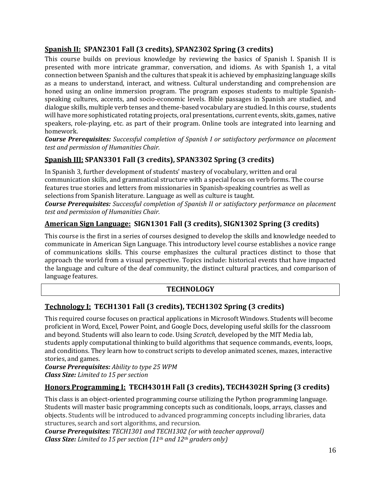## **Spanish II: SPAN2301 Fall (3 credits), SPAN2302 Spring (3 credits)**

This course builds on previous knowledge by reviewing the basics of Spanish I. Spanish II is presented with more intricate grammar, conversation, and idioms. As with Spanish 1, a vital connection between Spanish and the cultures that speak it is achieved by emphasizing language skills as a means to understand, interact, and witness. Cultural understanding and comprehension are honed using an online immersion program. The program exposes students to multiple Spanishspeaking cultures, accents, and socio-economic levels. Bible passages in Spanish are studied, and dialogue skills, multiple verb tenses and theme-based vocabulary are studied. In this course, students will have more sophisticated rotating projects, oral presentations, current events, skits, games, native speakers, role-playing, etc. as part of their program. Online tools are integrated into learning and homework.

*Course Prerequisites: Successful completion of Spanish I or satisfactory performance on placement test and permission of Humanities Chair.*

## **Spanish III: SPAN3301 Fall (3 credits), SPAN3302 Spring (3 credits)**

In Spanish 3, further development of students' mastery of vocabulary, written and oral communication skills, and grammatical structure with a special focus on verb forms. The course features true stories and letters from missionaries in Spanish-speaking countries as well as selections from Spanish literature. Language as well as culture is taught.

*Course Prerequisites: Successful completion of Spanish II or satisfactory performance on placement test and permission of Humanities Chair.*

## **American Sign Language: SIGN1301 Fall (3 credits), SIGN1302 Spring (3 credits)**

This course is the first in a series of courses designed to develop the skills and knowledge needed to communicate in American Sign Language. This introductory level course establishes a novice range of communications skills. This course emphasizes the cultural practices distinct to those that approach the world from a visual perspective. Topics include: historical events that have impacted the language and culture of the deaf community, the distinct cultural practices, and comparison of language features.

## **TECHNOLOGY**

## **Technology I: TECH1301 Fall (3 credits), TECH1302 Spring (3 credits)**

This required course focuses on practical applications in Microsoft Windows. Students will become proficient in Word, Excel, Power Point, and Google Docs, developing useful skills for the classroom and beyond. Students will also learn to code. Using *Scratch,* developed by the MIT Media lab, students apply computational thinking to build algorithms that sequence commands, events, loops, and conditions. They learn how to construct scripts to develop animated scenes, mazes, interactive stories, and games.

*Course Prerequisites: Ability to type 25 WPM Class Size: Limited to 15 per section*

## **Honors Programming I: TECH4301H Fall (3 credits), TECH4302H Spring (3 credits)**

This class is an object-oriented programming course utilizing the Python programming language. Students will master basic programming concepts such as conditionals, loops, arrays, classes and objects. Students will be introduced to advanced programming concepts including libraries, data structures, search and sort algorithms, and recursion.

*Course Prerequisites: TECH1301 and TECH1302 (or with teacher approval) Class Size: Limited to 15 per section (11th and 12th graders only)*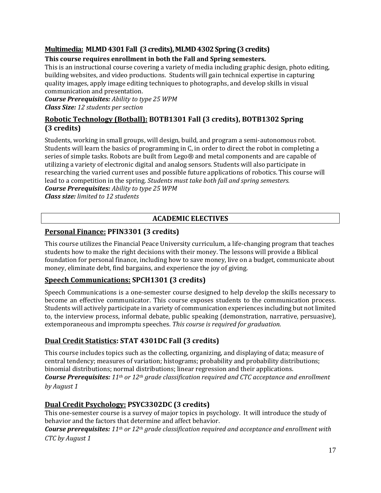## **Multimedia: MLMD4301Fall (3 credits),MLMD4302Spring (3credits)**

#### **This course requires enrollment in both the Fall and Spring semesters.**

This is an instructional course covering a variety of media including graphic design, photo editing, building websites, and video productions. Students will gain technical expertise in capturing quality images, apply image editing techniques to photographs, and develop skills in visual communication and presentation.

*Course Prerequisites: Ability to type 25 WPM Class Size: 12 students per section*

#### **Robotic Technology (Botball): BOTB1301 Fall (3 credits), BOTB1302 Spring (3 credits)**

Students, working in small groups, will design, build, and program a semi-autonomous robot. Students will learn the basics of programming in C, in order to direct the robot in completing a series of simple tasks. Robots are built from Lego® and metal components and are capable of utilizing a variety of electronic digital and analog sensors. Students will also participate in researching the varied current uses and possible future applications of robotics. This course will lead to a competition in the spring. *Students must take both fall and spring semesters.* 

*Course Prerequisites: Ability to type 25 WPM Class size: limited to 12 students*

## **ACADEMIC ELECTIVES**

#### **Personal Finance: PFIN3301 (3 credits)**

This course utilizes the Financial Peace University curriculum, a life-changing program that teaches students how to make the right decisions with their money. The lessons will provide a Biblical foundation for personal finance, including how to save money, live on a budget, communicate about money, eliminate debt, find bargains, and experience the joy of giving.

#### **Speech Communications: SPCH1301 (3 credits)**

Speech Communications is a one-semester course designed to help develop the skills necessary to become an effective communicator. This course exposes students to the communication process. Students will actively participate in a variety of communication experiences including but not limited to, the interview process, informal debate, public speaking (demonstration, narrative, persuasive), extemporaneous and impromptu speeches. *This course is required for graduation.* 

## **Dual Credit Statistics: STAT 4301DC Fall (3 credits)**

This course includes topics such as the collecting, organizing, and displaying of data; measure of central tendency; measures of variation; histograms; probability and probability distributions; binomial distributions; normal distributions; linear regression and their applications. *Course Prerequisites: 11th or 12th grade classification required and CTC acceptance and enrollment by August 1*

#### **Dual Credit Psychology: PSYC3302DC (3 credits)**

This one-semester course is a survey of major topics in psychology. It will introduce the study of behavior and the factors that determine and affect behavior.

*Course prerequisites: 11th or 12th grade classification required and acceptance and enrollment with CTC by August 1*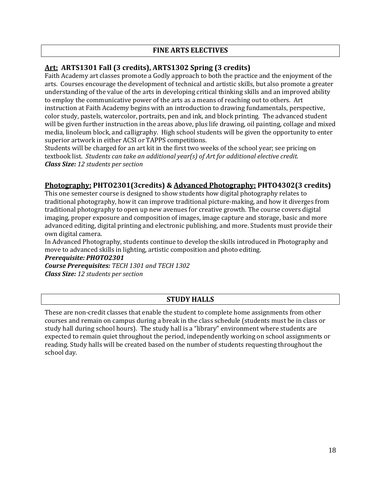#### **FINE ARTS ELECTIVES**

## **Art: ARTS1301 Fall (3 credits), ARTS1302 Spring (3 credits)**

Faith Academy art classes promote a Godly approach to both the practice and the enjoyment of the arts. Courses encourage the development of technical and artistic skills, but also promote a greater understanding of the value of the arts in developing critical thinking skills and an improved ability to employ the communicative power of the arts as a means of reaching out to others. Art instruction at Faith Academy begins with an introduction to drawing fundamentals, perspective, color study, pastels, watercolor, portraits, pen and ink, and block printing. The advanced student will be given further instruction in the areas above, plus life drawing, oil painting, collage and mixed media, linoleum block, and calligraphy. High school students will be given the opportunity to enter superior artwork in either ACSI or TAPPS competitions.

Students will be charged for an art kit in the first two weeks of the school year; see pricing on textbook list. *Students can take an additional year(s) of Art for additional elective credit. Class Size: 12 students per section*

#### **Photography: PHTO2301(3credits) & Advanced Photography: PHTO4302(3 credits)**

This one semester course is designed to show students how digital photography relates to traditional photography, how it can improve traditional picture-making, and how it diverges from traditional photography to open up new avenues for creative growth. The course covers digital imaging, proper exposure and composition of images, image capture and storage, basic and more advanced editing, digital printing and electronic publishing, and more. Students must provide their own digital camera.

In Advanced Photography, students continue to develop the skills introduced in Photography and move to advanced skills in lighting, artistic composition and photo editing.

#### *Prerequisite: PHOTO2301*

*Course Prerequisites: TECH 1301 and TECH 1302 Class Size: 12 students per section*

#### **STUDY HALLS**

These are non-credit classes that enable the student to complete home assignments from other courses and remain on campus during a break in the class schedule (students must be in class or study hall during school hours). The study hall is a "library" environment where students are expected to remain quiet throughout the period, independently working on school assignments or reading. Study halls will be created based on the number of students requesting throughout the school day.